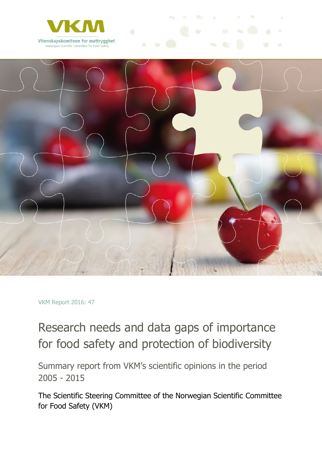



#### VKM Report 2016: 47

# Research needs and data gaps of importance for food safety and protection of biodiversity

Summary report from VKM's scientific opinions in the period 2005 - 2015

The Scientific Steering Committee of the Norwegian Scientific Committee for Food Safety (VKM)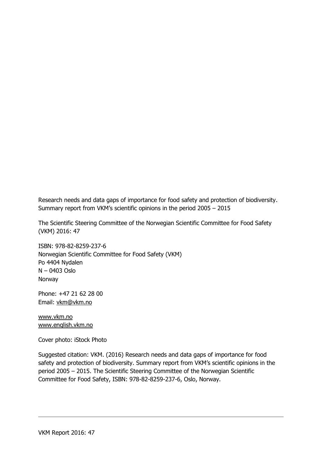Research needs and data gaps of importance for food safety and protection of biodiversity. Summary report from VKM's scientific opinions in the period 2005 – 2015

The Scientific Steering Committee of the Norwegian Scientific Committee for Food Safety (VKM) 2016: 47

ISBN: 978-82-8259-237-6 Norwegian Scientific Committee for Food Safety (VKM) Po 4404 Nydalen N – 0403 Oslo Norway

Phone: +47 21 62 28 00 Email: [vkm@vkm.no](mailto:vkm@vkm.no)

[www.vkm.no](http://www.vkm.no/) [www.english.vkm.no](http://www.english.vkm.no/)

Cover photo: iStock Photo

Suggested citation: VKM. (2016) Research needs and data gaps of importance for food safety and protection of biodiversity. Summary report from VKM's scientific opinions in the period 2005 – 2015. The Scientific Steering Committee of the Norwegian Scientific Committee for Food Safety, ISBN: 978-82-8259-237-6, Oslo, Norway.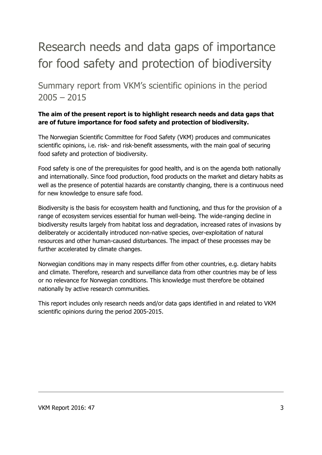# Research needs and data gaps of importance for food safety and protection of biodiversity

Summary report from VKM's scientific opinions in the period  $2005 - 2015$ 

## **The aim of the present report is to highlight research needs and data gaps that are of future importance for food safety and protection of biodiversity.**

The Norwegian Scientific Committee for Food Safety (VKM) produces and communicates scientific opinions, i.e. risk- and risk-benefit assessments, with the main goal of securing food safety and protection of biodiversity.

Food safety is one of the prerequisites for good health, and is on the agenda both nationally and internationally. Since food production, food products on the market and dietary habits as well as the presence of potential hazards are constantly changing, there is a continuous need for new knowledge to ensure safe food.

Biodiversity is the basis for ecosystem health and functioning, and thus for the provision of a range of ecosystem services essential for human well-being. The wide-ranging decline in biodiversity results largely from habitat loss and degradation, increased rates of invasions by deliberately or accidentally introduced non-native species, over-exploitation of natural resources and other human-caused disturbances. The impact of these processes may be further accelerated by climate changes.

Norwegian conditions may in many respects differ from other countries, e.g. dietary habits and climate. Therefore, research and surveillance data from other countries may be of less or no relevance for Norwegian conditions. This knowledge must therefore be obtained nationally by active research communities.

This report includes only research needs and/or data gaps identified in and related to VKM scientific opinions during the period 2005-2015.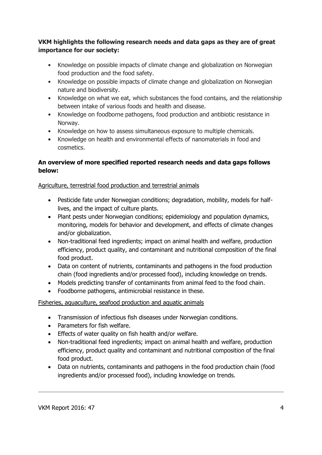## **VKM highlights the following research needs and data gaps as they are of great importance for our society:**

- Knowledge on possible impacts of climate change and globalization on Norwegian food production and the food safety.
- Knowledge on possible impacts of climate change and globalization on Norwegian nature and biodiversity.
- Knowledge on what we eat, which substances the food contains, and the relationship between intake of various foods and health and disease.
- Knowledge on foodborne pathogens, food production and antibiotic resistance in Norway.
- Knowledge on how to assess simultaneous exposure to multiple chemicals.
- Knowledge on health and environmental effects of nanomaterials in food and cosmetics.

## **An overview of more specified reported research needs and data gaps follows below:**

## Agriculture, terrestrial food production and terrestrial animals

- Pesticide fate under Norwegian conditions; degradation, mobility, models for halflives, and the impact of culture plants.
- Plant pests under Norwegian conditions; epidemiology and population dynamics, monitoring, models for behavior and development, and effects of climate changes and/or globalization.
- Non-traditional feed ingredients; impact on animal health and welfare, production efficiency, product quality, and contaminant and nutritional composition of the final food product.
- Data on content of nutrients, contaminants and pathogens in the food production chain (food ingredients and/or processed food), including knowledge on trends.
- Models predicting transfer of contaminants from animal feed to the food chain.
- Foodborne pathogens, antimicrobial resistance in these.

### Fisheries, aquaculture, seafood production and aquatic animals

- Transmission of infectious fish diseases under Norwegian conditions.
- Parameters for fish welfare.
- Effects of water quality on fish health and/or welfare.
- Non-traditional feed ingredients; impact on animal health and welfare, production efficiency, product quality and contaminant and nutritional composition of the final food product.
- Data on nutrients, contaminants and pathogens in the food production chain (food ingredients and/or processed food), including knowledge on trends.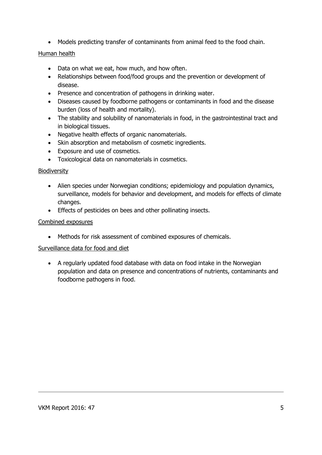Models predicting transfer of contaminants from animal feed to the food chain.

#### Human health

- Data on what we eat, how much, and how often.
- Relationships between food/food groups and the prevention or development of disease.
- Presence and concentration of pathogens in drinking water.
- Diseases caused by foodborne pathogens or contaminants in food and the disease burden (loss of health and mortality).
- The stability and solubility of nanomaterials in food, in the gastrointestinal tract and in biological tissues.
- Negative health effects of organic nanomaterials.
- Skin absorption and metabolism of cosmetic ingredients.
- Exposure and use of cosmetics.
- Toxicological data on nanomaterials in cosmetics.

#### Biodiversity

- Alien species under Norwegian conditions; epidemiology and population dynamics, surveillance, models for behavior and development, and models for effects of climate changes.
- **Effects of pesticides on bees and other pollinating insects.**

#### Combined exposures

Methods for risk assessment of combined exposures of chemicals.

#### Surveillance data for food and diet

 A regularly updated food database with data on food intake in the Norwegian population and data on presence and concentrations of nutrients, contaminants and foodborne pathogens in food.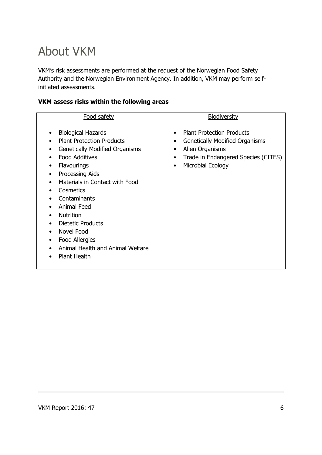# About VKM

VKM's risk assessments are performed at the request of the Norwegian Food Safety Authority and the Norwegian Environment Agency. In addition, VKM may perform selfinitiated assessments.

### **VKM assess risks within the following areas**

| Food safety<br><b>Biodiversity</b><br><b>Plant Protection Products</b><br><b>Biological Hazards</b><br>$\bullet$<br><b>Plant Protection Products</b><br><b>Genetically Modified Organisms</b><br>$\bullet$<br><b>Genetically Modified Organisms</b><br>Alien Organisms<br>$\bullet$<br><b>Food Additives</b><br>Trade in Endangered Species (CITES)<br>$\bullet$<br>Microbial Ecology<br><b>Flavourings</b><br>$\bullet$<br><b>Processing Aids</b><br>Materials in Contact with Food<br>Cosmetics<br>Contaminants<br><b>Animal Feed</b><br><b>Nutrition</b><br><b>Dietetic Products</b><br><b>Novel Food</b><br>Food Allergies<br>Animal Health and Animal Welfare<br><b>Plant Health</b> |  |
|-------------------------------------------------------------------------------------------------------------------------------------------------------------------------------------------------------------------------------------------------------------------------------------------------------------------------------------------------------------------------------------------------------------------------------------------------------------------------------------------------------------------------------------------------------------------------------------------------------------------------------------------------------------------------------------------|--|
|                                                                                                                                                                                                                                                                                                                                                                                                                                                                                                                                                                                                                                                                                           |  |
|                                                                                                                                                                                                                                                                                                                                                                                                                                                                                                                                                                                                                                                                                           |  |